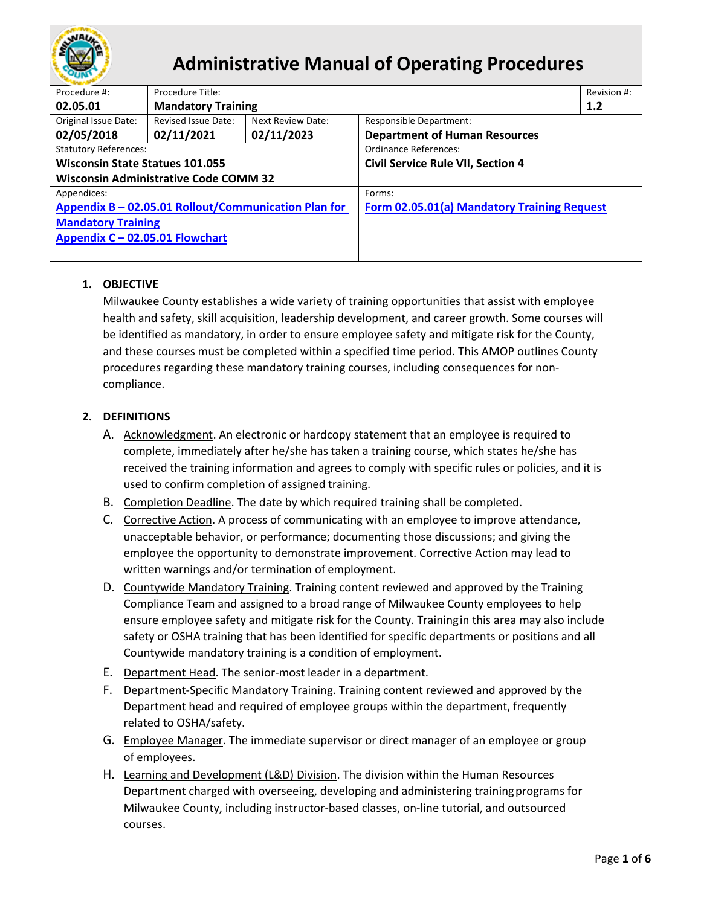

# **Administrative Manual of Operating Procedures**

| Procedure #:                                         | Procedure Title:          |                   |                                             | Revision #: |  |
|------------------------------------------------------|---------------------------|-------------------|---------------------------------------------|-------------|--|
| 02.05.01                                             | <b>Mandatory Training</b> |                   | 1.2                                         |             |  |
| Original Issue Date:                                 | Revised Issue Date:       | Next Review Date: | <b>Responsible Department:</b>              |             |  |
| 02/05/2018                                           | 02/11/2021                | 02/11/2023        | <b>Department of Human Resources</b>        |             |  |
| <b>Statutory References:</b>                         |                           |                   | Ordinance References:                       |             |  |
| <b>Wisconsin State Statues 101.055</b>               |                           |                   | <b>Civil Service Rule VII, Section 4</b>    |             |  |
| <b>Wisconsin Administrative Code COMM 32</b>         |                           |                   |                                             |             |  |
| Appendices:                                          |                           |                   | Forms:                                      |             |  |
| Appendix B - 02.05.01 Rollout/Communication Plan for |                           |                   | Form 02.05.01(a) Mandatory Training Request |             |  |
| <b>Mandatory Training</b>                            |                           |                   |                                             |             |  |
| Appendix C - 02.05.01 Flowchart                      |                           |                   |                                             |             |  |
|                                                      |                           |                   |                                             |             |  |

## **1. OBJECTIVE**

Milwaukee County establishes a wide variety of training opportunities that assist with employee health and safety, skill acquisition, leadership development, and career growth. Some courses will be identified as mandatory, in order to ensure employee safety and mitigate risk for the County, and these courses must be completed within a specified time period. This AMOP outlines County procedures regarding these mandatory training courses, including consequences for noncompliance.

## **2. DEFINITIONS**

- A. Acknowledgment. An electronic or hardcopy statement that an employee is required to complete, immediately after he/she has taken a training course, which states he/she has received the training information and agrees to comply with specific rules or policies, and it is used to confirm completion of assigned training.
- B. Completion Deadline. The date by which required training shall be completed.
- C. Corrective Action. A process of communicating with an employee to improve attendance, unacceptable behavior, or performance; documenting those discussions; and giving the employee the opportunity to demonstrate improvement. Corrective Action may lead to written warnings and/or termination of employment.
- D. Countywide Mandatory Training. Training content reviewed and approved by the Training Compliance Team and assigned to a broad range of Milwaukee County employees to help ensure employee safety and mitigate risk for the County. Trainingin this area may also include safety or OSHA training that has been identified for specific departments or positions and all Countywide mandatory training is a condition of employment.
- E. Department Head. The senior-most leader in a department.
- F. Department-Specific Mandatory Training. Training content reviewed and approved by the Department head and required of employee groups within the department, frequently related to OSHA/safety.
- G. Employee Manager. The immediate supervisor or direct manager of an employee or group of employees.
- H. Learning and Development (L&D) Division. The division within the Human Resources Department charged with overseeing, developing and administering trainingprograms for Milwaukee County, including instructor-based classes, on-line tutorial, and outsourced courses.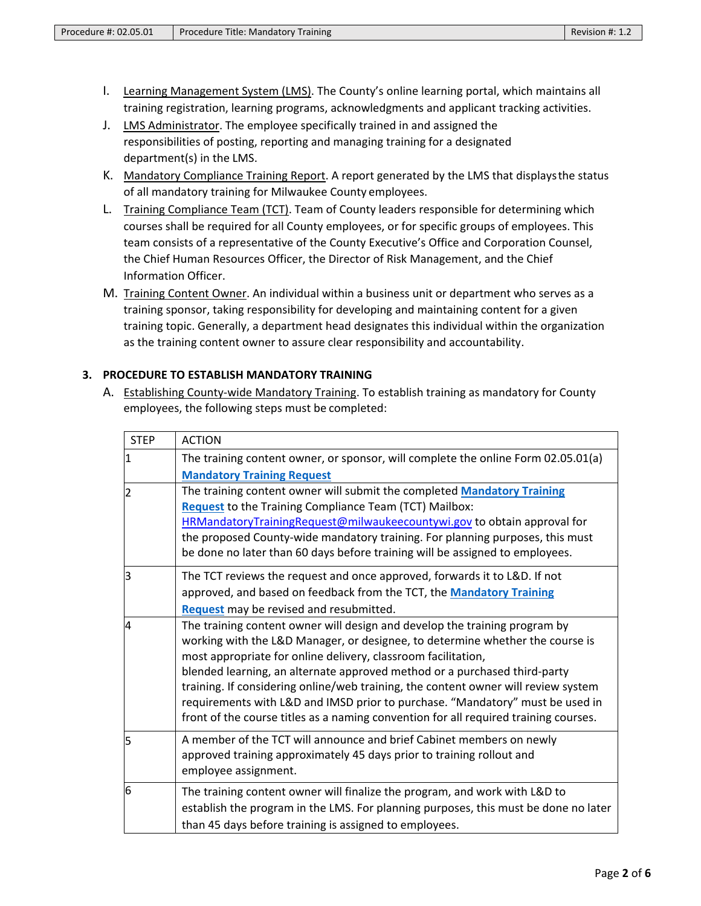- I. Learning Management System (LMS). The County's online learning portal, which maintains all training registration, learning programs, acknowledgments and applicant tracking activities.
- J. LMS Administrator. The employee specifically trained in and assigned the responsibilities of posting, reporting and managing training for a designated department(s) in the LMS.
- K. Mandatory Compliance Training Report. A report generated by the LMS that displays the status of all mandatory training for Milwaukee County employees.
- L. Training Compliance Team (TCT). Team of County leaders responsible for determining which courses shall be required for all County employees, or for specific groups of employees. This team consists of a representative of the County Executive's Office and Corporation Counsel, the Chief Human Resources Officer, the Director of Risk Management, and the Chief Information Officer.
- M. Training Content Owner. An individual within a business unit or department who serves as a training sponsor, taking responsibility for developing and maintaining content for a given training topic. Generally, a department head designates this individual within the organization as the training content owner to assure clear responsibility and accountability.

#### **3. PROCEDURE TO ESTABLISH MANDATORY TRAINING**

A. Establishing County-wide Mandatory Training. To establish training as mandatory for County employees, the following steps must be completed:

| <b>STEP</b> | <b>ACTION</b>                                                                        |
|-------------|--------------------------------------------------------------------------------------|
| 11          | The training content owner, or sponsor, will complete the online Form 02.05.01(a)    |
|             | <b>Mandatory Training Request</b>                                                    |
| 12          | The training content owner will submit the completed Mandatory Training              |
|             | Request to the Training Compliance Team (TCT) Mailbox:                               |
|             | HRMandatoryTrainingRequest@milwaukeecountywi.gov to obtain approval for              |
|             | the proposed County-wide mandatory training. For planning purposes, this must        |
|             | be done no later than 60 days before training will be assigned to employees.         |
| lз          | The TCT reviews the request and once approved, forwards it to L&D. If not            |
|             | approved, and based on feedback from the TCT, the Mandatory Training                 |
|             | Request may be revised and resubmitted.                                              |
| 4           | The training content owner will design and develop the training program by           |
|             | working with the L&D Manager, or designee, to determine whether the course is        |
|             | most appropriate for online delivery, classroom facilitation,                        |
|             | blended learning, an alternate approved method or a purchased third-party            |
|             | training. If considering online/web training, the content owner will review system   |
|             | requirements with L&D and IMSD prior to purchase. "Mandatory" must be used in        |
|             | front of the course titles as a naming convention for all required training courses. |
| l5          | A member of the TCT will announce and brief Cabinet members on newly                 |
|             | approved training approximately 45 days prior to training rollout and                |
|             | employee assignment.                                                                 |
| 6           | The training content owner will finalize the program, and work with L&D to           |
|             | establish the program in the LMS. For planning purposes, this must be done no later  |
|             | than 45 days before training is assigned to employees.                               |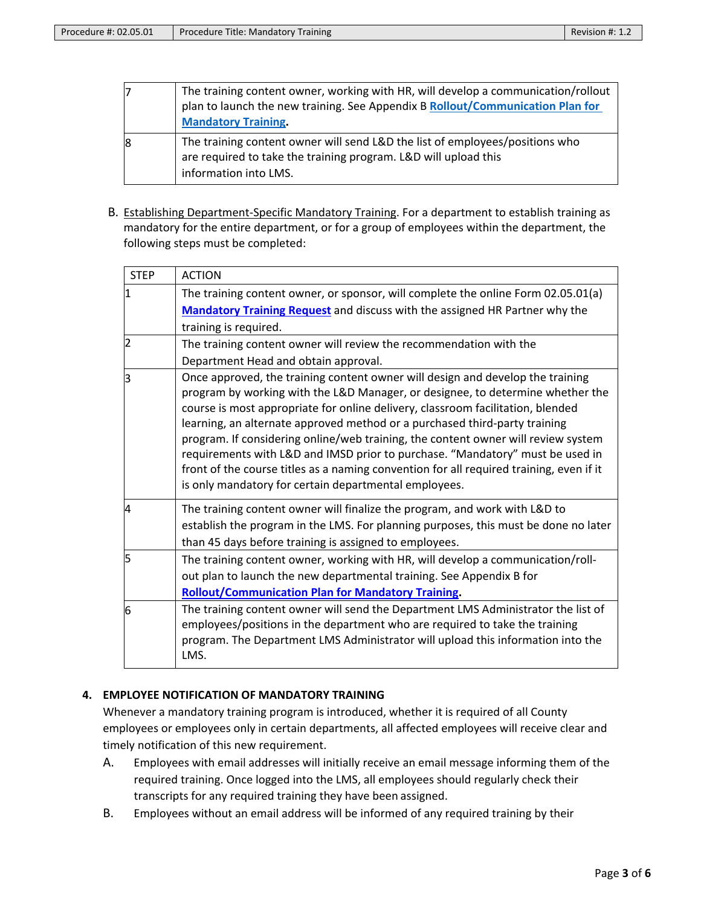|   | The training content owner, working with HR, will develop a communication/rollout<br>plan to launch the new training. See Appendix B Rollout/Communication Plan for<br><b>Mandatory Training.</b> |
|---|---------------------------------------------------------------------------------------------------------------------------------------------------------------------------------------------------|
| 8 | The training content owner will send L&D the list of employees/positions who<br>are required to take the training program. L&D will upload this<br>information into LMS.                          |

B. Establishing Department-Specific Mandatory Training. For a department to establish training as mandatory for the entire department, or for a group of employees within the department, the following steps must be completed:

| <b>STEP</b>    | <b>ACTION</b>                                                                                                                                                                                                                                                                                                                                                                                                                                                                                                                                                                                                                                               |
|----------------|-------------------------------------------------------------------------------------------------------------------------------------------------------------------------------------------------------------------------------------------------------------------------------------------------------------------------------------------------------------------------------------------------------------------------------------------------------------------------------------------------------------------------------------------------------------------------------------------------------------------------------------------------------------|
| l1             | The training content owner, or sponsor, will complete the online Form 02.05.01(a)                                                                                                                                                                                                                                                                                                                                                                                                                                                                                                                                                                           |
|                | Mandatory Training Request and discuss with the assigned HR Partner why the                                                                                                                                                                                                                                                                                                                                                                                                                                                                                                                                                                                 |
|                | training is required.                                                                                                                                                                                                                                                                                                                                                                                                                                                                                                                                                                                                                                       |
| $\overline{2}$ | The training content owner will review the recommendation with the                                                                                                                                                                                                                                                                                                                                                                                                                                                                                                                                                                                          |
|                | Department Head and obtain approval.                                                                                                                                                                                                                                                                                                                                                                                                                                                                                                                                                                                                                        |
| lЗ             | Once approved, the training content owner will design and develop the training<br>program by working with the L&D Manager, or designee, to determine whether the<br>course is most appropriate for online delivery, classroom facilitation, blended<br>learning, an alternate approved method or a purchased third-party training<br>program. If considering online/web training, the content owner will review system<br>requirements with L&D and IMSD prior to purchase. "Mandatory" must be used in<br>front of the course titles as a naming convention for all required training, even if it<br>is only mandatory for certain departmental employees. |
| $\overline{A}$ | The training content owner will finalize the program, and work with L&D to<br>establish the program in the LMS. For planning purposes, this must be done no later<br>than 45 days before training is assigned to employees.                                                                                                                                                                                                                                                                                                                                                                                                                                 |
| l5             | The training content owner, working with HR, will develop a communication/roll-<br>out plan to launch the new departmental training. See Appendix B for<br><b>Rollout/Communication Plan for Mandatory Training.</b>                                                                                                                                                                                                                                                                                                                                                                                                                                        |
| 6              | The training content owner will send the Department LMS Administrator the list of<br>employees/positions in the department who are required to take the training<br>program. The Department LMS Administrator will upload this information into the<br>LMS.                                                                                                                                                                                                                                                                                                                                                                                                 |

### **4. EMPLOYEE NOTIFICATION OF MANDATORY TRAINING**

Whenever a mandatory training program is introduced, whether it is required of all County employees or employees only in certain departments, all affected employees will receive clear and timely notification of this new requirement.

- A. Employees with email addresses will initially receive an email message informing them of the required training. Once logged into the LMS, all employees should regularly check their transcripts for any required training they have been assigned.
- B. Employees without an email address will be informed of any required training by their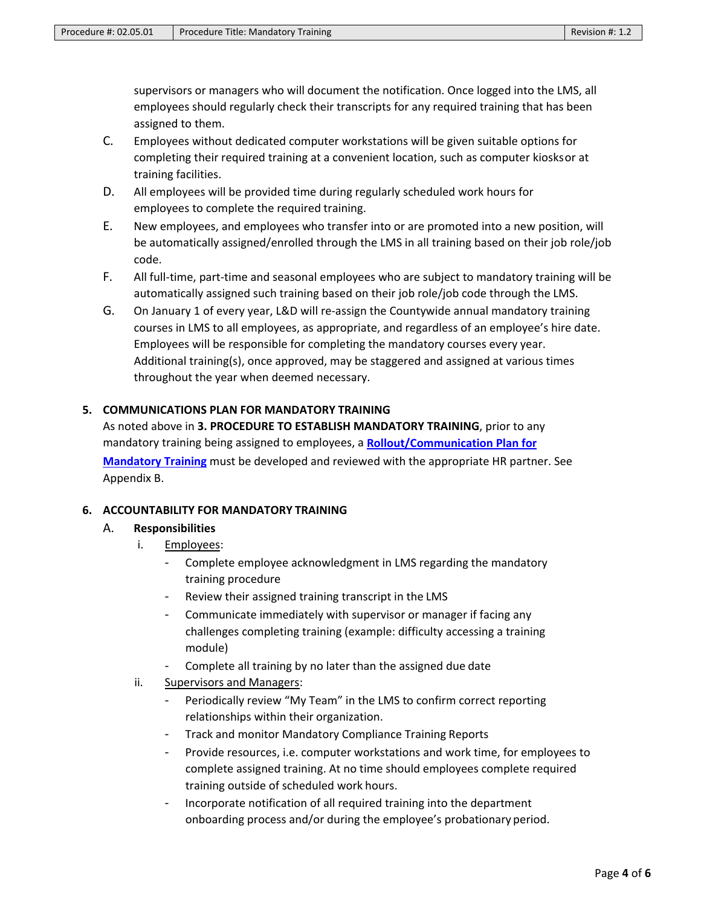supervisors or managers who will document the notification. Once logged into the LMS, all employees should regularly check their transcripts for any required training that has been assigned to them.

- C. Employees without dedicated computer workstations will be given suitable options for completing their required training at a convenient location, such as computer kiosksor at training facilities.
- D. All employees will be provided time during regularly scheduled work hours for employees to complete the required training.
- E. New employees, and employees who transfer into or are promoted into a new position, will be automatically assigned/enrolled through the LMS in all training based on their job role/job code.
- F. All full-time, part-time and seasonal employees who are subject to mandatory training will be automatically assigned such training based on their job role/job code through the LMS.
- G. On January 1 of every year, L&D will re-assign the Countywide annual mandatory training courses in LMS to all employees, as appropriate, and regardless of an employee's hire date. Employees will be responsible for completing the mandatory courses every year. Additional training(s), once approved, may be staggered and assigned at various times throughout the year when deemed necessary.

#### **5. COMMUNICATIONS PLAN FOR MANDATORY TRAINING**

As noted above in **3. PROCEDURE TO ESTABLISH MANDATORY TRAINING**, prior to any mandatory training being assigned to employees, a **[Rollout/Communication Plan for](http://county.milwaukee.gov/ImageLibrary/Groups/cntyHR/training/RolloutCommunicationPlan.pdf) [Mandatory Training](http://county.milwaukee.gov/ImageLibrary/Groups/cntyHR/training/RolloutCommunicationPlan.pdf)** must be developed and reviewed with the appropriate HR partner. See Appendix B.

#### **6. ACCOUNTABILITY FOR MANDATORY TRAINING**

#### A. **Responsibilities**

- i. Employees:
	- Complete employee acknowledgment in LMS regarding the mandatory training procedure
	- Review their assigned training transcript in the LMS
	- Communicate immediately with supervisor or manager if facing any challenges completing training (example: difficulty accessing a training module)
	- Complete all training by no later than the assigned due date
- ii. Supervisors and Managers:
	- Periodically review "My Team" in the LMS to confirm correct reporting relationships within their organization.
	- Track and monitor Mandatory Compliance Training Reports
	- Provide resources, i.e. computer workstations and work time, for employees to complete assigned training. At no time should employees complete required training outside of scheduled work hours.
	- Incorporate notification of all required training into the department onboarding process and/or during the employee's probationary period.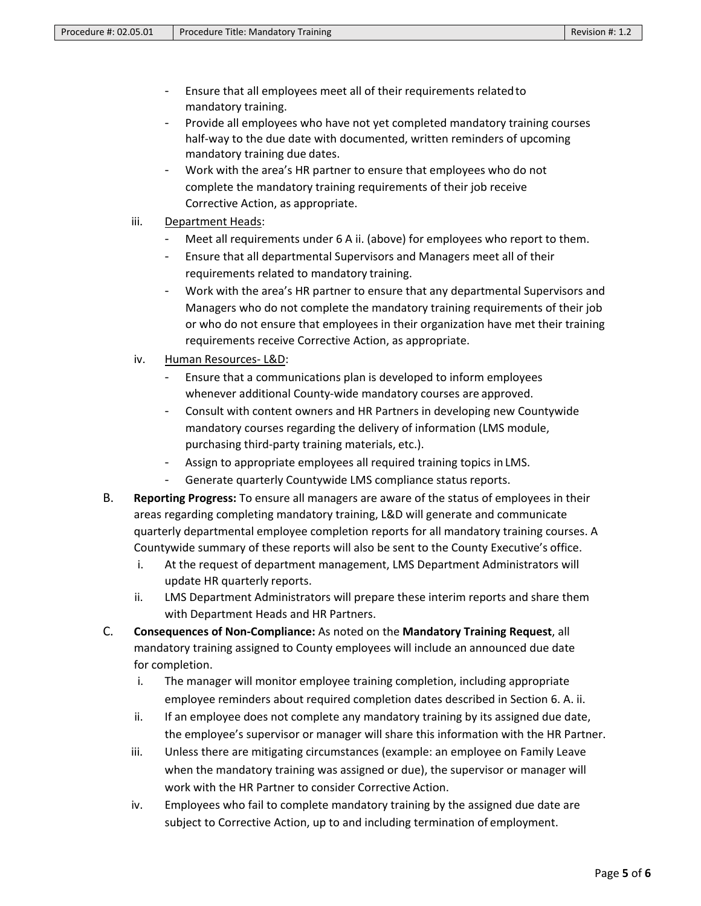- Ensure that all employees meet all of their requirements relatedto mandatory training.
- Provide all employees who have not yet completed mandatory training courses half-way to the due date with documented, written reminders of upcoming mandatory training due dates.
- Work with the area's HR partner to ensure that employees who do not complete the mandatory training requirements of their job receive Corrective Action, as appropriate.
- iii. Department Heads:
	- Meet all requirements under 6 A ii. (above) for employees who report to them.
	- Ensure that all departmental Supervisors and Managers meet all of their requirements related to mandatory training.
	- Work with the area's HR partner to ensure that any departmental Supervisors and Managers who do not complete the mandatory training requirements of their job or who do not ensure that employees in their organization have met their training requirements receive Corrective Action, as appropriate.
- iv. Human Resources- L&D:
	- Ensure that a communications plan is developed to inform employees whenever additional County-wide mandatory courses are approved.
	- Consult with content owners and HR Partners in developing new Countywide mandatory courses regarding the delivery of information (LMS module, purchasing third-party training materials, etc.).
	- Assign to appropriate employees all required training topics in LMS.
	- Generate quarterly Countywide LMS compliance status reports.
- B. **Reporting Progress:** To ensure all managers are aware of the status of employees in their areas regarding completing mandatory training, L&D will generate and communicate quarterly departmental employee completion reports for all mandatory training courses. A Countywide summary of these reports will also be sent to the County Executive's office.
	- i. At the request of department management, LMS Department Administrators will update HR quarterly reports.
	- ii. LMS Department Administrators will prepare these interim reports and share them with Department Heads and HR Partners.
- C. **Consequences of Non-Compliance:** As noted on the **Mandatory Training Request**, all mandatory training assigned to County employees will include an announced due date for completion.
	- i. The manager will monitor employee training completion, including appropriate employee reminders about required completion dates described in Section 6. A. ii.
	- ii. If an employee does not complete any mandatory training by its assigned due date, the employee's supervisor or manager will share this information with the HR Partner.
	- iii. Unless there are mitigating circumstances (example: an employee on Family Leave when the mandatory training was assigned or due), the supervisor or manager will work with the HR Partner to consider Corrective Action.
	- iv. Employees who fail to complete mandatory training by the assigned due date are subject to Corrective Action, up to and including termination of employment.